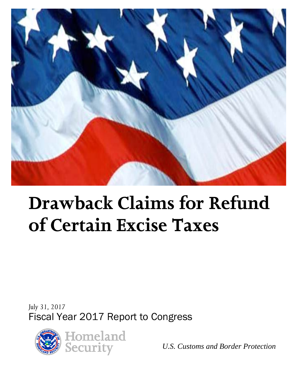

# **Drawback Claims for Refund of Certain Excise Taxes**

*July 31, 2017* Fiscal Year 2017 Report to Congress



*U.S. Customs and Border Protection*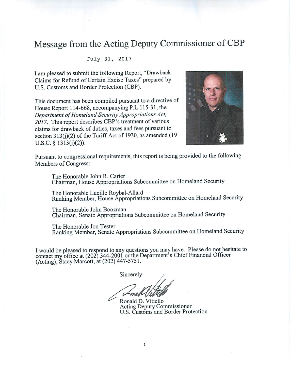#### Message from the Acting Deputy Commissioner of CBP

#### July 31, 2017

I am pleased to submit the following Report, "Drawback" Claims for Refund of Certain Excise Taxes" prepared by U.S. Customs and Border Protection (CBP).

This document has been compiled pursuant to a directive of House Report 114-668, accompanying P.L 115-31, the Department of Homeland Security Appropriations Act, 2017. This report describes CBP's treatment of various claims for drawback of duties, taxes and fees pursuant to section 313(j)(2) of the Tariff Act of 1930, as amended (19  $U.S.C.$  § 1313(j)(2)).



Pursuant to congressional requirements, this report is being provided to the following Members of Congress:

The Honorable John R. Carter Chairman, House Appropriations Subcommittee on Homeland Security

The Honorable Lucille Roybal-Allard Ranking Member, House Appropriations Subcommittee on Homeland Security

The Honorable John Boozman Chairman, Senate Appropriations Subcommittee on Homeland Security

The Honorable Jon Tester Ranking Member, Senate Appropriations Subcommittee on Homeland Security

I would be pleased to respond to any questions you may have. Please do not hesitate to contact my office at (202) 344-2001 or the Department's Chief Financial Officer (Acting), Stacy Marcott, at (202) 447-5751.

Sincerely,

 $\mathbf{i}$ 

Ronald D. Vitiello **Acting Deputy Commissioner** U.S. Customs and Border Protection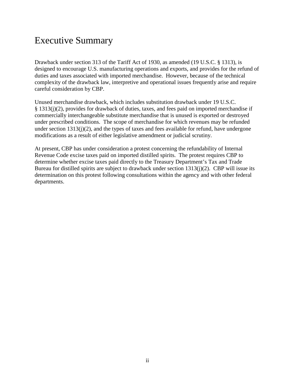#### Executive Summary

Drawback under section 313 of the Tariff Act of 1930, as amended (19 U.S.C. § 1313), is designed to encourage U.S. manufacturing operations and exports, and provides for the refund of duties and taxes associated with imported merchandise. However, because of the technical complexity of the drawback law, interpretive and operational issues frequently arise and require careful consideration by CBP.

Unused merchandise drawback, which includes substitution drawback under 19 U.S.C. § 1313(j)(2), provides for drawback of duties, taxes, and fees paid on imported merchandise if commercially interchangeable substitute merchandise that is unused is exported or destroyed under prescribed conditions. The scope of merchandise for which revenues may be refunded under section  $1313(j)(2)$ , and the types of taxes and fees available for refund, have undergone modifications as a result of either legislative amendment or judicial scrutiny.

At present, CBP has under consideration a protest concerning the refundability of Internal Revenue Code excise taxes paid on imported distilled spirits. The protest requires CBP to determine whether excise taxes paid directly to the Treasury Department's Tax and Trade Bureau for distilled spirits are subject to drawback under section 1313(j)(2). CBP will issue its determination on this protest following consultations within the agency and with other federal departments.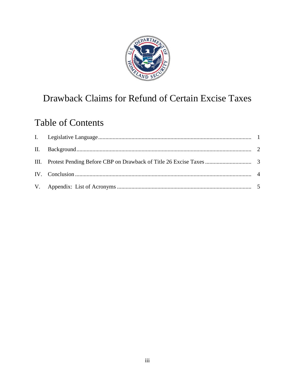

## Drawback Claims for Refund of Certain Excise Taxes

### **Table of Contents**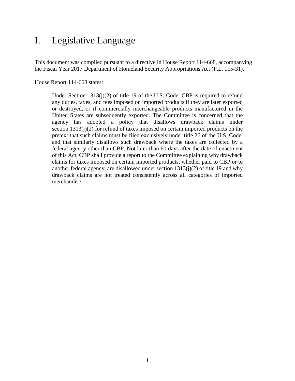#### <span id="page-4-0"></span>I. Legislative Language

This document was compiled pursuant to a directive in House Report 114-668, accompanying the Fiscal Year 2017 Department of Homeland Security Appropriations Act (P.L. 115-31).

House Report 114-668 states:

Under Section  $1313(i)(2)$  of title 19 of the U.S. Code, CBP is required to refund any duties, taxes, and fees imposed on imported products if they are later exported or destroyed, or if commercially interchangeable products manufactured in the United States are subsequently exported. The Committee is concerned that the agency has adopted a policy that disallows drawback claims under section 1313(j)(2) for refund of taxes imposed on certain imported products on the pretext that such claims must be filed exclusively under title 26 of the U.S. Code, and that similarly disallows such drawback where the taxes are collected by a federal agency other than CBP. Not later than 60 days after the date of enactment of this Act, CBP shall provide a report to the Committee explaining why drawback claims for taxes imposed on certain imported products, whether paid to CBP or to another federal agency, are disallowed under section 1313(j)(2) of title 19 and why drawback claims are not treated consistently across all categories of imported merchandise.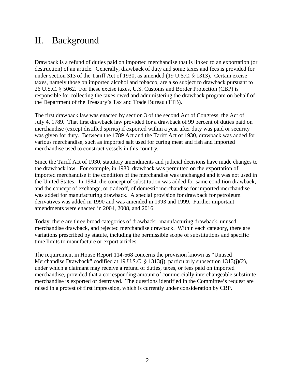#### <span id="page-5-0"></span>II. Background

Drawback is a refund of duties paid on imported merchandise that is linked to an exportation (or destruction) of an article. Generally, drawback of duty and some taxes and fees is provided for under section 313 of the Tariff Act of 1930, as amended (19 U.S.C. § 1313). Certain excise taxes, namely those on imported alcohol and tobacco, are also subject to drawback pursuant to 26 U.S.C. § 5062. For these excise taxes, U.S. Customs and Border Protection (CBP) is responsible for collecting the taxes owed and administering the drawback program on behalf of the Department of the Treasury's Tax and Trade Bureau (TTB).

The first drawback law was enacted by section 3 of the second Act of Congress, the Act of July 4, 1789. That first drawback law provided for a drawback of 99 percent of duties paid on merchandise (except distilled spirits) if exported within a year after duty was paid or security was given for duty. Between the 1789 Act and the Tariff Act of 1930, drawback was added for various merchandise, such as imported salt used for curing meat and fish and imported merchandise used to construct vessels in this country.

Since the Tariff Act of 1930, statutory amendments and judicial decisions have made changes to the drawback law. For example, in 1980, drawback was permitted on the exportation of imported merchandise if the condition of the merchandise was unchanged and it was not used in the United States. In 1984, the concept of substitution was added for same condition drawback, and the concept of exchange, or tradeoff, of domestic merchandise for imported merchandise was added for manufacturing drawback. A special provision for drawback for petroleum derivatives was added in 1990 and was amended in 1993 and 1999. Further important amendments were enacted in 2004, 2008, and 2016.

Today, there are three broad categories of drawback: manufacturing drawback, unused merchandise drawback, and rejected merchandise drawback. Within each category, there are variations prescribed by statute, including the permissible scope of substitutions and specific time limits to manufacture or export articles.

The requirement in House Report 114-668 concerns the provision known as "Unused Merchandise Drawback" codified at 19 U.S.C. § 1313(j), particularly subsection 1313(j)(2), under which a claimant may receive a refund of duties, taxes, or fees paid on imported merchandise, provided that a corresponding amount of commercially interchangeable substitute merchandise is exported or destroyed. The questions identified in the Committee's request are raised in a protest of first impression, which is currently under consideration by CBP.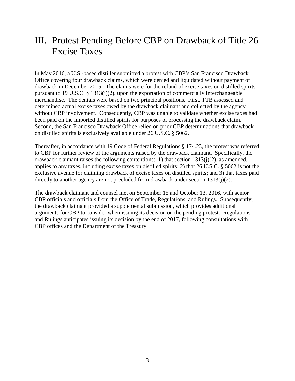#### <span id="page-6-0"></span>III. Protest Pending Before CBP on Drawback of Title 26 Excise Taxes

In May 2016, a U.S.-based distiller submitted a protest with CBP's San Francisco Drawback Office covering four drawback claims, which were denied and liquidated without payment of drawback in December 2015. The claims were for the refund of excise taxes on distilled spirits pursuant to 19 U.S.C. § 1313(j)(2), upon the exportation of commercially interchangeable merchandise. The denials were based on two principal positions. First, TTB assessed and determined actual excise taxes owed by the drawback claimant and collected by the agency without CBP involvement. Consequently, CBP was unable to validate whether excise taxes had been paid on the imported distilled spirits for purposes of processing the drawback claim. Second, the San Francisco Drawback Office relied on prior CBP determinations that drawback on distilled spirits is exclusively available under 26 U.S.C. § 5062.

Thereafter, in accordance with 19 Code of Federal Regulations § 174.23, the protest was referred to CBP for further review of the arguments raised by the drawback claimant. Specifically, the drawback claimant raises the following contentions: 1) that section 1313(j)(2), as amended, applies to any taxes, including excise taxes on distilled spirits; 2) that 26 U.S.C. § 5062 is not the exclusive avenue for claiming drawback of excise taxes on distilled spirits; and 3) that taxes paid directly to another agency are not precluded from drawback under section 1313(j)(2).

The drawback claimant and counsel met on September 15 and October 13, 2016, with senior CBP officials and officials from the Office of Trade, Regulations, and Rulings. Subsequently, the drawback claimant provided a supplemental submission, which provides additional arguments for CBP to consider when issuing its decision on the pending protest. Regulations and Rulings anticipates issuing its decision by the end of 2017, following consultations with CBP offices and the Department of the Treasury.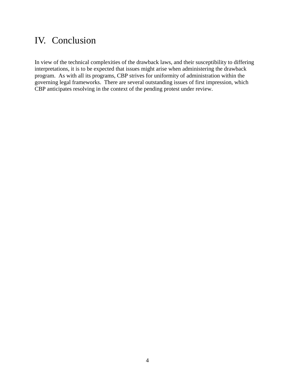#### <span id="page-7-0"></span>IV. Conclusion

In view of the technical complexities of the drawback laws, and their susceptibility to differing interpretations, it is to be expected that issues might arise when administering the drawback program. As with all its programs, CBP strives for uniformity of administration within the governing legal frameworks. There are several outstanding issues of first impression, which CBP anticipates resolving in the context of the pending protest under review.